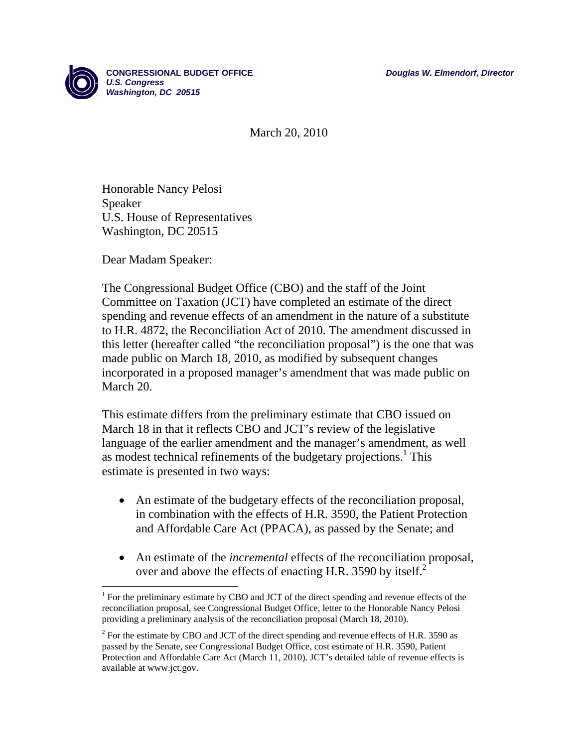

March 20, 2010

Honorable Nancy Pelosi Speaker U.S. House of Representatives Washington, DC 20515

Dear Madam Speaker:

 $\overline{a}$ 

The Congressional Budget Office (CBO) and the staff of the Joint Committee on Taxation (JCT) have completed an estimate of the direct spending and revenue effects of an amendment in the nature of a substitute to H.R. 4872, the Reconciliation Act of 2010. The amendment discussed in this letter (hereafter called "the reconciliation proposal") is the one that was made public on March 18, 2010, as modified by subsequent changes incorporated in a proposed manager's amendment that was made public on March 20.

This estimate differs from the preliminary estimate that CBO issued on March 18 in that it reflects CBO and JCT's review of the legislative language of the earlier amendment and the manager's amendment, as well as modest technical refinements of the budgetary projections.<sup>1</sup> This estimate is presented in two ways:

- An estimate of the budgetary effects of the reconciliation proposal, in combination with the effects of H.R. 3590, the Patient Protection and Affordable Care Act (PPACA), as passed by the Senate; and
- An estimate of the *incremental* effects of the reconciliation proposal, over and above the effects of enacting H.R. 3590 by itself.<sup>2</sup>

 $<sup>1</sup>$  For the preliminary estimate by CBO and JCT of the direct spending and revenue effects of the</sup> reconciliation proposal, see Congressional Budget Office, letter to the Honorable Nancy Pelosi providing a preliminary analysis of the reconciliation proposal (March 18, 2010).

 $2^2$  For the estimate by CBO and JCT of the direct spending and revenue effects of H.R. 3590 as passed by the Senate, see Congressional Budget Office, cost estimate of H.R. 3590, Patient Protection and Affordable Care Act (March 11, 2010). JCT's detailed table of revenue effects is available at www.jct.gov.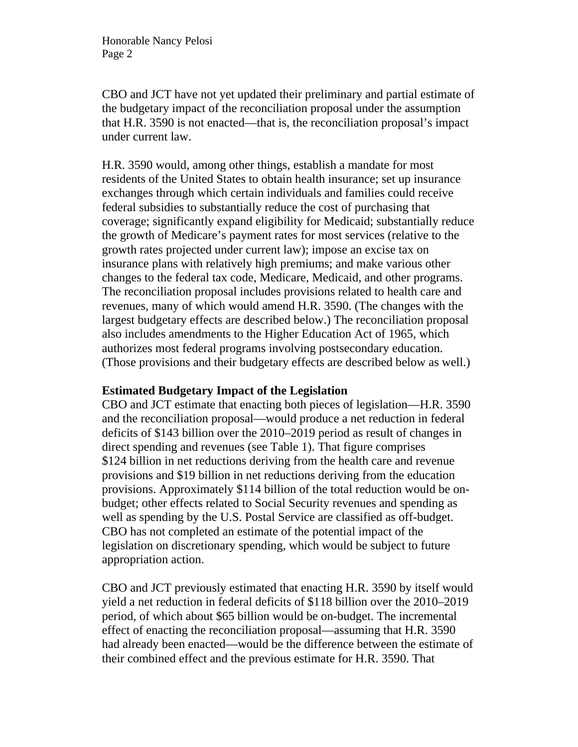CBO and JCT have not yet updated their preliminary and partial estimate of the budgetary impact of the reconciliation proposal under the assumption that H.R. 3590 is not enacted—that is, the reconciliation proposal's impact under current law.

H.R. 3590 would, among other things, establish a mandate for most residents of the United States to obtain health insurance; set up insurance exchanges through which certain individuals and families could receive federal subsidies to substantially reduce the cost of purchasing that coverage; significantly expand eligibility for Medicaid; substantially reduce the growth of Medicare's payment rates for most services (relative to the growth rates projected under current law); impose an excise tax on insurance plans with relatively high premiums; and make various other changes to the federal tax code, Medicare, Medicaid, and other programs. The reconciliation proposal includes provisions related to health care and revenues, many of which would amend H.R. 3590. (The changes with the largest budgetary effects are described below.) The reconciliation proposal also includes amendments to the Higher Education Act of 1965, which authorizes most federal programs involving postsecondary education. (Those provisions and their budgetary effects are described below as well.)

# **Estimated Budgetary Impact of the Legislation**

CBO and JCT estimate that enacting both pieces of legislation—H.R. 3590 and the reconciliation proposal—would produce a net reduction in federal deficits of \$143 billion over the 2010–2019 period as result of changes in direct spending and revenues (see Table 1). That figure comprises \$124 billion in net reductions deriving from the health care and revenue provisions and \$19 billion in net reductions deriving from the education provisions. Approximately \$114 billion of the total reduction would be onbudget; other effects related to Social Security revenues and spending as well as spending by the U.S. Postal Service are classified as off-budget. CBO has not completed an estimate of the potential impact of the legislation on discretionary spending, which would be subject to future appropriation action.

CBO and JCT previously estimated that enacting H.R. 3590 by itself would yield a net reduction in federal deficits of \$118 billion over the 2010–2019 period, of which about \$65 billion would be on-budget. The incremental effect of enacting the reconciliation proposal—assuming that H.R. 3590 had already been enacted—would be the difference between the estimate of their combined effect and the previous estimate for H.R. 3590. That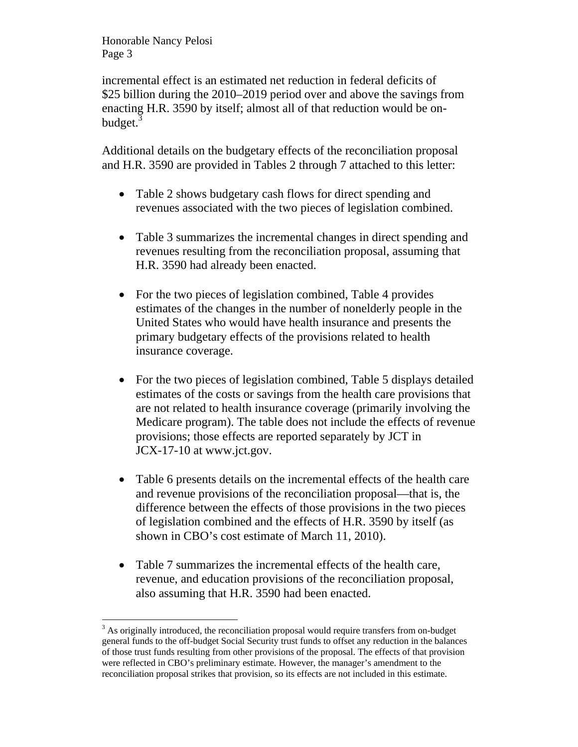incremental effect is an estimated net reduction in federal deficits of \$25 billion during the 2010–2019 period over and above the savings from enacting H.R. 3590 by itself; almost all of that reduction would be onbudget.<sup>3</sup>

Additional details on the budgetary effects of the reconciliation proposal and H.R. 3590 are provided in Tables 2 through 7 attached to this letter:

- Table 2 shows budgetary cash flows for direct spending and revenues associated with the two pieces of legislation combined.
- Table 3 summarizes the incremental changes in direct spending and revenues resulting from the reconciliation proposal, assuming that H.R. 3590 had already been enacted.
- For the two pieces of legislation combined, Table 4 provides estimates of the changes in the number of nonelderly people in the United States who would have health insurance and presents the primary budgetary effects of the provisions related to health insurance coverage.
- For the two pieces of legislation combined, Table 5 displays detailed estimates of the costs or savings from the health care provisions that are not related to health insurance coverage (primarily involving the Medicare program). The table does not include the effects of revenue provisions; those effects are reported separately by JCT in JCX-17-10 at www.jct.gov.
- Table 6 presents details on the incremental effects of the health care and revenue provisions of the reconciliation proposal—that is, the difference between the effects of those provisions in the two pieces of legislation combined and the effects of H.R. 3590 by itself (as shown in CBO's cost estimate of March 11, 2010).
- Table 7 summarizes the incremental effects of the health care, revenue, and education provisions of the reconciliation proposal, also assuming that H.R. 3590 had been enacted.

 $\overline{a}$  $3$  As originally introduced, the reconciliation proposal would require transfers from on-budget general funds to the off-budget Social Security trust funds to offset any reduction in the balances of those trust funds resulting from other provisions of the proposal. The effects of that provision were reflected in CBO's preliminary estimate. However, the manager's amendment to the reconciliation proposal strikes that provision, so its effects are not included in this estimate.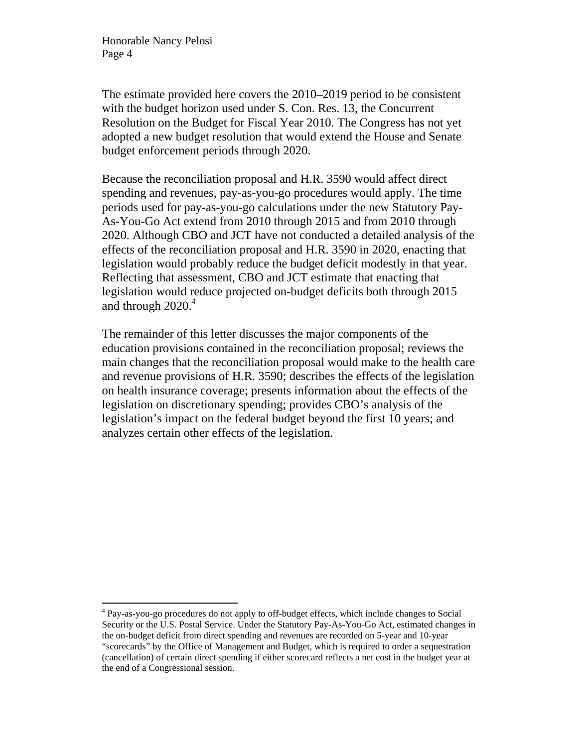$\overline{a}$ 

The estimate provided here covers the 2010–2019 period to be consistent with the budget horizon used under S. Con. Res. 13, the Concurrent Resolution on the Budget for Fiscal Year 2010. The Congress has not yet adopted a new budget resolution that would extend the House and Senate budget enforcement periods through 2020.

Because the reconciliation proposal and H.R. 3590 would affect direct spending and revenues, pay-as-you-go procedures would apply. The time periods used for pay-as-you-go calculations under the new Statutory Pay-As-You-Go Act extend from 2010 through 2015 and from 2010 through 2020. Although CBO and JCT have not conducted a detailed analysis of the effects of the reconciliation proposal and H.R. 3590 in 2020, enacting that legislation would probably reduce the budget deficit modestly in that year. Reflecting that assessment, CBO and JCT estimate that enacting that legislation would reduce projected on-budget deficits both through 2015 and through  $2020<sup>4</sup>$ 

The remainder of this letter discusses the major components of the education provisions contained in the reconciliation proposal; reviews the main changes that the reconciliation proposal would make to the health care and revenue provisions of H.R. 3590; describes the effects of the legislation on health insurance coverage; presents information about the effects of the legislation on discretionary spending; provides CBO's analysis of the legislation's impact on the federal budget beyond the first 10 years; and analyzes certain other effects of the legislation.

<sup>&</sup>lt;sup>4</sup> Pay-as-you-go procedures do not apply to off-budget effects, which include changes to Social Security or the U.S. Postal Service. Under the Statutory Pay-As-You-Go Act, estimated changes in the on-budget deficit from direct spending and revenues are recorded on 5-year and 10-year "scorecards" by the Office of Management and Budget, which is required to order a sequestration (cancellation) of certain direct spending if either scorecard reflects a net cost in the budget year at the end of a Congressional session.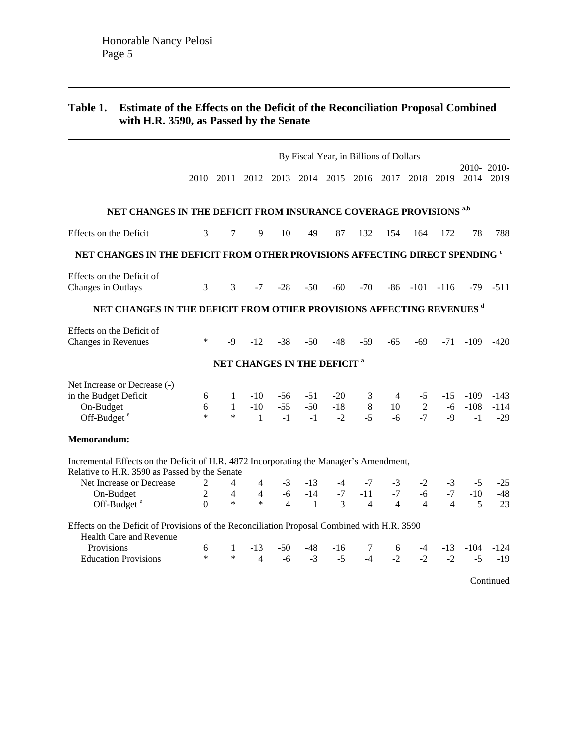# **Table 1. Estimate of the Effects on the Deficit of the Reconciliation Proposal Combined with H.R. 3590, as Passed by the Senate**

|                                                                                                                        |                     | By Fiscal Year, in Billions of Dollars |                                         |                |                |              |                               |                |                     |                |                   |                |  |
|------------------------------------------------------------------------------------------------------------------------|---------------------|----------------------------------------|-----------------------------------------|----------------|----------------|--------------|-------------------------------|----------------|---------------------|----------------|-------------------|----------------|--|
|                                                                                                                        | 2010                | 2011                                   |                                         |                |                |              | 2012 2013 2014 2015 2016 2017 |                | 2018                | 2019           | 2014 2019         | 2010-2010-     |  |
|                                                                                                                        |                     |                                        |                                         |                |                |              |                               |                |                     |                |                   |                |  |
| NET CHANGES IN THE DEFICIT FROM INSURANCE COVERAGE PROVISIONS <sup>a,b</sup>                                           |                     |                                        |                                         |                |                |              |                               |                |                     |                |                   |                |  |
| Effects on the Deficit                                                                                                 | 3                   | 7                                      | 9                                       | 10             | 49             | 87           | 132                           | 154            | 164                 | 172            | 78                | 788            |  |
| NET CHANGES IN THE DEFICIT FROM OTHER PROVISIONS AFFECTING DIRECT SPENDING <sup>c</sup>                                |                     |                                        |                                         |                |                |              |                               |                |                     |                |                   |                |  |
| Effects on the Deficit of                                                                                              |                     |                                        |                                         |                |                |              |                               |                |                     |                |                   |                |  |
| Changes in Outlays                                                                                                     | 3                   | 3                                      |                                         | $-7 - 28$      | $-50$          | $-60$        | $-70$                         |                | $-86$ $-101$ $-116$ |                |                   | $-79 - 511$    |  |
| NET CHANGES IN THE DEFICIT FROM OTHER PROVISIONS AFFECTING REVENUES <sup>d</sup>                                       |                     |                                        |                                         |                |                |              |                               |                |                     |                |                   |                |  |
| Effects on the Deficit of                                                                                              |                     |                                        |                                         |                |                |              |                               |                |                     |                |                   |                |  |
| Changes in Revenues                                                                                                    | $\ast$              | $-9$                                   | $-12$                                   | $-38$          | $-50$          | $-48$        | $-59$                         | $-65$          | -69                 |                | $-71 - 109 - 420$ |                |  |
|                                                                                                                        |                     |                                        | NET CHANGES IN THE DEFICIT <sup>a</sup> |                |                |              |                               |                |                     |                |                   |                |  |
| Net Increase or Decrease (-)                                                                                           |                     |                                        |                                         |                |                |              |                               |                |                     |                |                   |                |  |
| in the Budget Deficit                                                                                                  | 6                   | $\mathbf{1}$                           | $-10$                                   | -56            | $-51$          | $-20$        | 3                             | $\overline{4}$ | $-5$                |                | $-15 - 109$       | $-143$         |  |
| On-Budget                                                                                                              | 6                   | $\mathbf{1}$                           | $-10$                                   | $-55$          | $-50$          | $-18$        | 8                             | 10             | 2                   |                | $-6$ $-108$       | $-114$         |  |
| Off-Budget <sup>e</sup>                                                                                                | $\ast$              | $\ast$                                 | $\mathbf{1}$                            | $-1$           | $-1$           | $-2$         | $-5$                          | $-6$           | $-7$                | -9             | $-1$              | $-29$          |  |
| Memorandum:                                                                                                            |                     |                                        |                                         |                |                |              |                               |                |                     |                |                   |                |  |
| Incremental Effects on the Deficit of H.R. 4872 Incorporating the Manager's Amendment,                                 |                     |                                        |                                         |                |                |              |                               |                |                     |                |                   |                |  |
| Relative to H.R. 3590 as Passed by the Senate<br>Net Increase or Decrease                                              |                     |                                        |                                         |                | $-13$          |              |                               |                |                     |                |                   |                |  |
| On-Budget                                                                                                              | 2<br>$\overline{2}$ | 4<br>$\overline{4}$                    | $\overline{4}$<br>$\overline{4}$        | $-3$<br>$-6$   | $-14$          | $-4$<br>$-7$ | $-7$<br>$-11$                 | $-3$<br>$-7$   | $-2$<br>$-6$        | $-3$<br>$-7$   | $-5$<br>$-10$     | $-25$<br>$-48$ |  |
| Off-Budget <sup>e</sup>                                                                                                | $\Omega$            | $\ast$                                 | $\ast$                                  | $\overline{4}$ | $\overline{1}$ | 3            | $\overline{4}$                | $\overline{4}$ | $\overline{4}$      | $\overline{4}$ | 5                 | 23             |  |
|                                                                                                                        |                     |                                        |                                         |                |                |              |                               |                |                     |                |                   |                |  |
| Effects on the Deficit of Provisions of the Reconciliation Proposal Combined with H.R. 3590<br>Health Care and Revenue |                     |                                        |                                         |                |                |              |                               |                |                     |                |                   |                |  |
| Provisions                                                                                                             | 6                   | $\mathbf{1}$                           | $-13$                                   | $-50$          | -48            | $-16$        | 7                             | 6              | $-4$                | $-13$          | $-104$            | $-124$         |  |
| <b>Education Provisions</b>                                                                                            | $\ast$              | $\ast$                                 | $\overline{4}$                          | $-6$           | $-3$           | $-5$         | $-4$                          | $-2$           | $-2$                | $-2$           | $-5$              | $-19$          |  |
|                                                                                                                        |                     |                                        |                                         |                |                |              |                               |                |                     |                |                   | Continued      |  |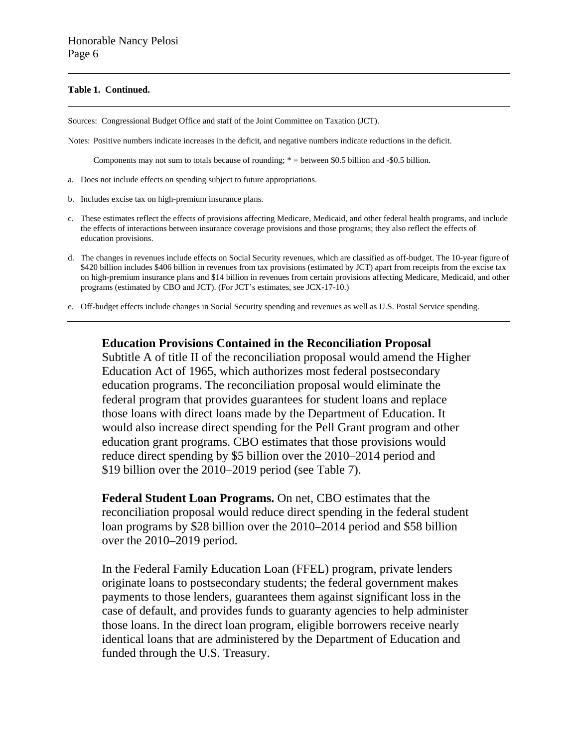#### **Table 1. Continued.**

Sources: Congressional Budget Office and staff of the Joint Committee on Taxation (JCT).

Notes: Positive numbers indicate increases in the deficit, and negative numbers indicate reductions in the deficit.

Components may not sum to totals because of rounding; \* = between \$0.5 billion and -\$0.5 billion.

- a. Does not include effects on spending subject to future appropriations.
- b. Includes excise tax on high-premium insurance plans.
- c. These estimates reflect the effects of provisions affecting Medicare, Medicaid, and other federal health programs, and include the effects of interactions between insurance coverage provisions and those programs; they also reflect the effects of education provisions.
- d. The changes in revenues include effects on Social Security revenues, which are classified as off-budget. The 10-year figure of \$420 billion includes \$406 billion in revenues from tax provisions (estimated by JCT) apart from receipts from the excise tax on high-premium insurance plans and \$14 billion in revenues from certain provisions affecting Medicare, Medicaid, and other programs (estimated by CBO and JCT). (For JCT's estimates, see JCX-17-10.)

e. Off-budget effects include changes in Social Security spending and revenues as well as U.S. Postal Service spending.

#### **Education Provisions Contained in the Reconciliation Proposal**

Subtitle A of title II of the reconciliation proposal would amend the Higher Education Act of 1965, which authorizes most federal postsecondary education programs. The reconciliation proposal would eliminate the federal program that provides guarantees for student loans and replace those loans with direct loans made by the Department of Education. It would also increase direct spending for the Pell Grant program and other education grant programs. CBO estimates that those provisions would reduce direct spending by \$5 billion over the 2010–2014 period and \$19 billion over the 2010–2019 period (see Table 7).

**Federal Student Loan Programs.** On net, CBO estimates that the reconciliation proposal would reduce direct spending in the federal student loan programs by \$28 billion over the 2010–2014 period and \$58 billion over the 2010–2019 period.

In the Federal Family Education Loan (FFEL) program, private lenders originate loans to postsecondary students; the federal government makes payments to those lenders, guarantees them against significant loss in the case of default, and provides funds to guaranty agencies to help administer those loans. In the direct loan program, eligible borrowers receive nearly identical loans that are administered by the Department of Education and funded through the U.S. Treasury.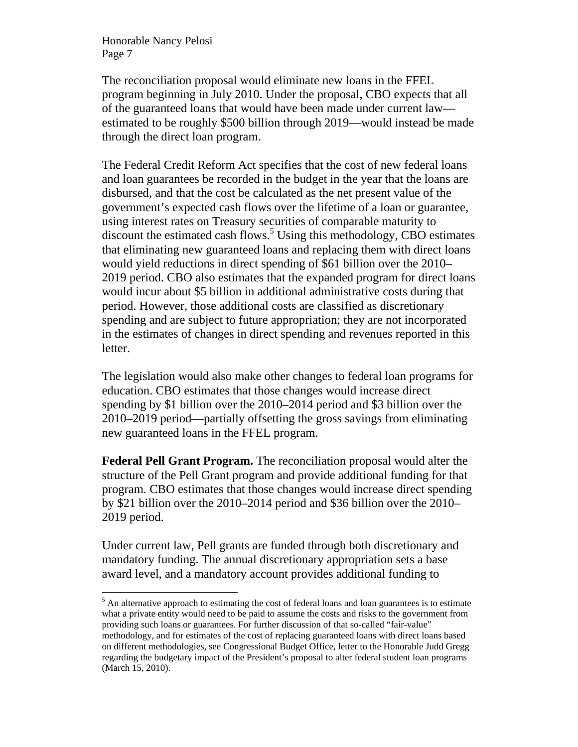$\overline{a}$ 

The reconciliation proposal would eliminate new loans in the FFEL program beginning in July 2010. Under the proposal, CBO expects that all of the guaranteed loans that would have been made under current law estimated to be roughly \$500 billion through 2019—would instead be made through the direct loan program.

The Federal Credit Reform Act specifies that the cost of new federal loans and loan guarantees be recorded in the budget in the year that the loans are disbursed, and that the cost be calculated as the net present value of the government's expected cash flows over the lifetime of a loan or guarantee, using interest rates on Treasury securities of comparable maturity to discount the estimated cash flows.<sup>5</sup> Using this methodology, CBO estimates that eliminating new guaranteed loans and replacing them with direct loans would yield reductions in direct spending of \$61 billion over the 2010– 2019 period. CBO also estimates that the expanded program for direct loans would incur about \$5 billion in additional administrative costs during that period. However, those additional costs are classified as discretionary spending and are subject to future appropriation; they are not incorporated in the estimates of changes in direct spending and revenues reported in this letter.

The legislation would also make other changes to federal loan programs for education. CBO estimates that those changes would increase direct spending by \$1 billion over the 2010–2014 period and \$3 billion over the 2010–2019 period—partially offsetting the gross savings from eliminating new guaranteed loans in the FFEL program.

**Federal Pell Grant Program.** The reconciliation proposal would alter the structure of the Pell Grant program and provide additional funding for that program. CBO estimates that those changes would increase direct spending by \$21 billion over the 2010–2014 period and \$36 billion over the 2010– 2019 period.

Under current law, Pell grants are funded through both discretionary and mandatory funding. The annual discretionary appropriation sets a base award level, and a mandatory account provides additional funding to

 $<sup>5</sup>$  An alternative approach to estimating the cost of federal loans and loan guarantees is to estimate</sup> what a private entity would need to be paid to assume the costs and risks to the government from providing such loans or guarantees. For further discussion of that so-called "fair-value" methodology, and for estimates of the cost of replacing guaranteed loans with direct loans based on different methodologies, see Congressional Budget Office, letter to the Honorable Judd Gregg regarding the budgetary impact of the President's proposal to alter federal student loan programs (March 15, 2010).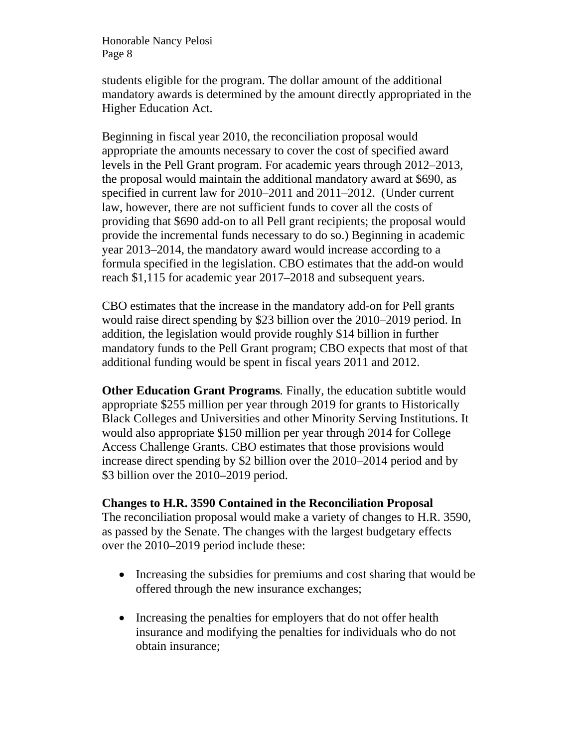students eligible for the program. The dollar amount of the additional mandatory awards is determined by the amount directly appropriated in the Higher Education Act.

Beginning in fiscal year 2010, the reconciliation proposal would appropriate the amounts necessary to cover the cost of specified award levels in the Pell Grant program. For academic years through 2012–2013, the proposal would maintain the additional mandatory award at \$690, as specified in current law for 2010–2011 and 2011–2012. (Under current law, however, there are not sufficient funds to cover all the costs of providing that \$690 add-on to all Pell grant recipients; the proposal would provide the incremental funds necessary to do so.) Beginning in academic year 2013–2014, the mandatory award would increase according to a formula specified in the legislation. CBO estimates that the add-on would reach \$1,115 for academic year 2017–2018 and subsequent years.

CBO estimates that the increase in the mandatory add-on for Pell grants would raise direct spending by \$23 billion over the 2010–2019 period. In addition, the legislation would provide roughly \$14 billion in further mandatory funds to the Pell Grant program; CBO expects that most of that additional funding would be spent in fiscal years 2011 and 2012.

**Other Education Grant Programs***.* Finally, the education subtitle would appropriate \$255 million per year through 2019 for grants to Historically Black Colleges and Universities and other Minority Serving Institutions. It would also appropriate \$150 million per year through 2014 for College Access Challenge Grants. CBO estimates that those provisions would increase direct spending by \$2 billion over the 2010–2014 period and by \$3 billion over the 2010–2019 period.

#### **Changes to H.R. 3590 Contained in the Reconciliation Proposal**

The reconciliation proposal would make a variety of changes to H.R. 3590, as passed by the Senate. The changes with the largest budgetary effects over the 2010–2019 period include these:

- Increasing the subsidies for premiums and cost sharing that would be offered through the new insurance exchanges;
- Increasing the penalties for employers that do not offer health insurance and modifying the penalties for individuals who do not obtain insurance;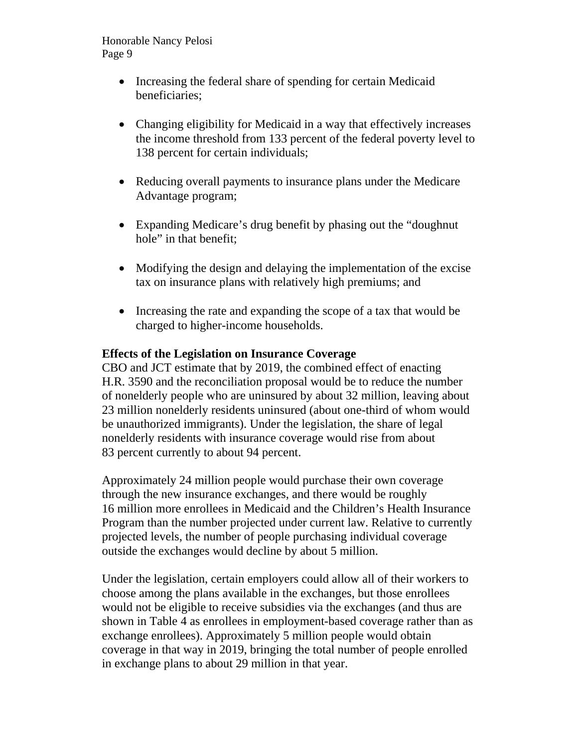- Increasing the federal share of spending for certain Medicaid beneficiaries;
- Changing eligibility for Medicaid in a way that effectively increases the income threshold from 133 percent of the federal poverty level to 138 percent for certain individuals;
- Reducing overall payments to insurance plans under the Medicare Advantage program;
- Expanding Medicare's drug benefit by phasing out the "doughnut hole" in that benefit:
- Modifying the design and delaying the implementation of the excise tax on insurance plans with relatively high premiums; and
- Increasing the rate and expanding the scope of a tax that would be charged to higher-income households.

# **Effects of the Legislation on Insurance Coverage**

CBO and JCT estimate that by 2019, the combined effect of enacting H.R. 3590 and the reconciliation proposal would be to reduce the number of nonelderly people who are uninsured by about 32 million, leaving about 23 million nonelderly residents uninsured (about one-third of whom would be unauthorized immigrants). Under the legislation, the share of legal nonelderly residents with insurance coverage would rise from about 83 percent currently to about 94 percent.

Approximately 24 million people would purchase their own coverage through the new insurance exchanges, and there would be roughly 16 million more enrollees in Medicaid and the Children's Health Insurance Program than the number projected under current law. Relative to currently projected levels, the number of people purchasing individual coverage outside the exchanges would decline by about 5 million.

Under the legislation, certain employers could allow all of their workers to choose among the plans available in the exchanges, but those enrollees would not be eligible to receive subsidies via the exchanges (and thus are shown in Table 4 as enrollees in employment-based coverage rather than as exchange enrollees). Approximately 5 million people would obtain coverage in that way in 2019, bringing the total number of people enrolled in exchange plans to about 29 million in that year.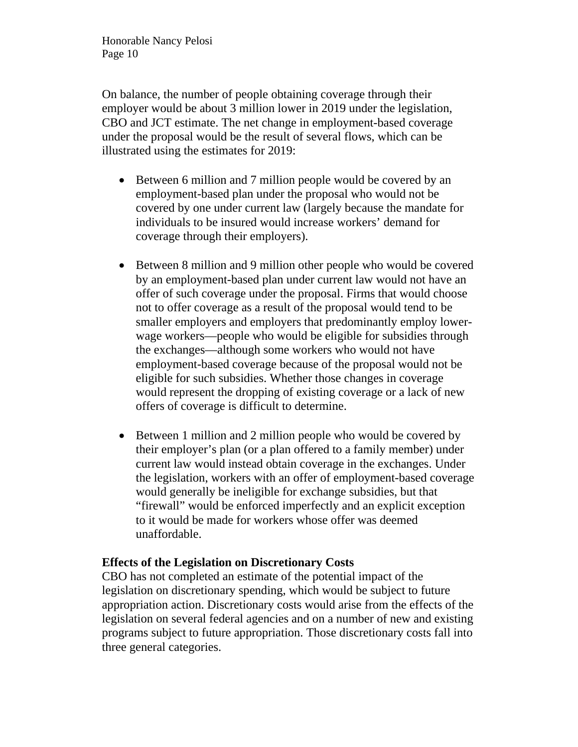On balance, the number of people obtaining coverage through their employer would be about 3 million lower in 2019 under the legislation, CBO and JCT estimate. The net change in employment-based coverage under the proposal would be the result of several flows, which can be illustrated using the estimates for 2019:

- Between 6 million and 7 million people would be covered by an employment-based plan under the proposal who would not be covered by one under current law (largely because the mandate for individuals to be insured would increase workers' demand for coverage through their employers).
- Between 8 million and 9 million other people who would be covered by an employment-based plan under current law would not have an offer of such coverage under the proposal. Firms that would choose not to offer coverage as a result of the proposal would tend to be smaller employers and employers that predominantly employ lowerwage workers—people who would be eligible for subsidies through the exchanges—although some workers who would not have employment-based coverage because of the proposal would not be eligible for such subsidies. Whether those changes in coverage would represent the dropping of existing coverage or a lack of new offers of coverage is difficult to determine.
- Between 1 million and 2 million people who would be covered by their employer's plan (or a plan offered to a family member) under current law would instead obtain coverage in the exchanges. Under the legislation, workers with an offer of employment-based coverage would generally be ineligible for exchange subsidies, but that "firewall" would be enforced imperfectly and an explicit exception to it would be made for workers whose offer was deemed unaffordable.

# **Effects of the Legislation on Discretionary Costs**

CBO has not completed an estimate of the potential impact of the legislation on discretionary spending, which would be subject to future appropriation action. Discretionary costs would arise from the effects of the legislation on several federal agencies and on a number of new and existing programs subject to future appropriation. Those discretionary costs fall into three general categories.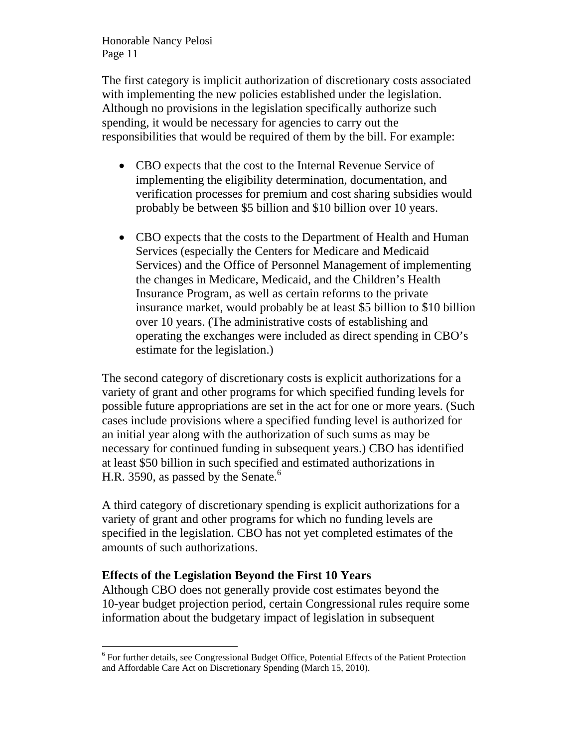The first category is implicit authorization of discretionary costs associated with implementing the new policies established under the legislation. Although no provisions in the legislation specifically authorize such spending, it would be necessary for agencies to carry out the responsibilities that would be required of them by the bill. For example:

- CBO expects that the cost to the Internal Revenue Service of implementing the eligibility determination, documentation, and verification processes for premium and cost sharing subsidies would probably be between \$5 billion and \$10 billion over 10 years.
- CBO expects that the costs to the Department of Health and Human Services (especially the Centers for Medicare and Medicaid Services) and the Office of Personnel Management of implementing the changes in Medicare, Medicaid, and the Children's Health Insurance Program, as well as certain reforms to the private insurance market, would probably be at least \$5 billion to \$10 billion over 10 years. (The administrative costs of establishing and operating the exchanges were included as direct spending in CBO's estimate for the legislation.)

The second category of discretionary costs is explicit authorizations for a variety of grant and other programs for which specified funding levels for possible future appropriations are set in the act for one or more years. (Such cases include provisions where a specified funding level is authorized for an initial year along with the authorization of such sums as may be necessary for continued funding in subsequent years.) CBO has identified at least \$50 billion in such specified and estimated authorizations in H.R. 3590, as passed by the Senate. $6$ 

A third category of discretionary spending is explicit authorizations for a variety of grant and other programs for which no funding levels are specified in the legislation. CBO has not yet completed estimates of the amounts of such authorizations.

# **Effects of the Legislation Beyond the First 10 Years**

 $\overline{a}$ 

Although CBO does not generally provide cost estimates beyond the 10-year budget projection period, certain Congressional rules require some information about the budgetary impact of legislation in subsequent

<sup>&</sup>lt;sup>6</sup> For further details, see Congressional Budget Office, Potential Effects of the Patient Protection and Affordable Care Act on Discretionary Spending (March 15, 2010).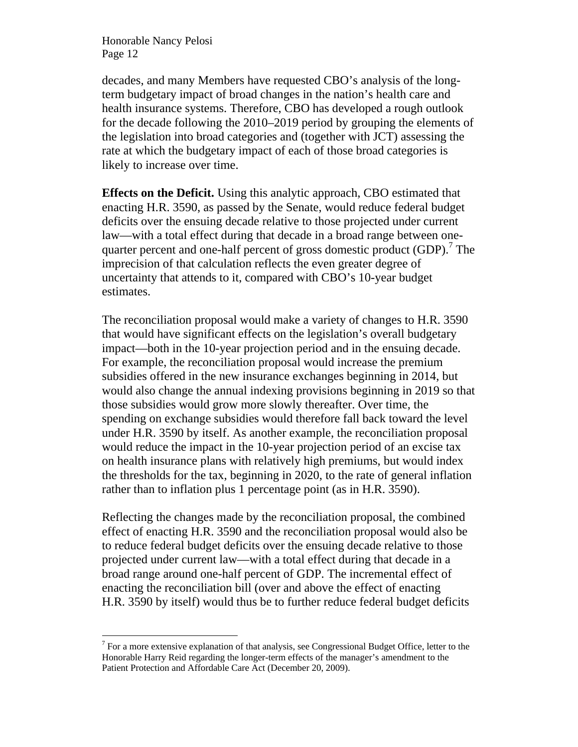$\overline{a}$ 

decades, and many Members have requested CBO's analysis of the longterm budgetary impact of broad changes in the nation's health care and health insurance systems. Therefore, CBO has developed a rough outlook for the decade following the 2010–2019 period by grouping the elements of the legislation into broad categories and (together with JCT) assessing the rate at which the budgetary impact of each of those broad categories is likely to increase over time.

**Effects on the Deficit.** Using this analytic approach, CBO estimated that enacting H.R. 3590, as passed by the Senate, would reduce federal budget deficits over the ensuing decade relative to those projected under current law—with a total effect during that decade in a broad range between onequarter percent and one-half percent of gross domestic product  $(GDP)$ .<sup>7</sup> The imprecision of that calculation reflects the even greater degree of uncertainty that attends to it, compared with CBO's 10-year budget estimates.

The reconciliation proposal would make a variety of changes to H.R. 3590 that would have significant effects on the legislation's overall budgetary impact—both in the 10-year projection period and in the ensuing decade. For example, the reconciliation proposal would increase the premium subsidies offered in the new insurance exchanges beginning in 2014, but would also change the annual indexing provisions beginning in 2019 so that those subsidies would grow more slowly thereafter. Over time, the spending on exchange subsidies would therefore fall back toward the level under H.R. 3590 by itself. As another example, the reconciliation proposal would reduce the impact in the 10-year projection period of an excise tax on health insurance plans with relatively high premiums, but would index the thresholds for the tax, beginning in 2020, to the rate of general inflation rather than to inflation plus 1 percentage point (as in H.R. 3590).

Reflecting the changes made by the reconciliation proposal, the combined effect of enacting H.R. 3590 and the reconciliation proposal would also be to reduce federal budget deficits over the ensuing decade relative to those projected under current law—with a total effect during that decade in a broad range around one-half percent of GDP. The incremental effect of enacting the reconciliation bill (over and above the effect of enacting H.R. 3590 by itself) would thus be to further reduce federal budget deficits

 $7$  For a more extensive explanation of that analysis, see Congressional Budget Office, letter to the Honorable Harry Reid regarding the longer-term effects of the manager's amendment to the Patient Protection and Affordable Care Act (December 20, 2009).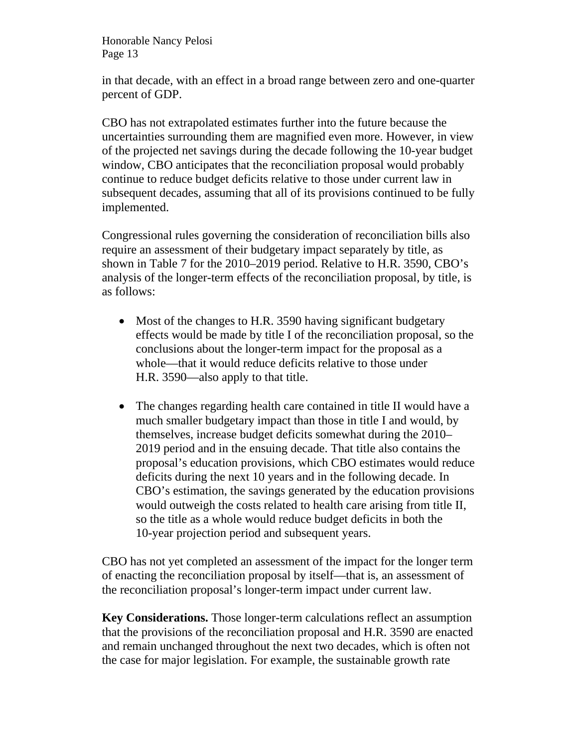in that decade, with an effect in a broad range between zero and one-quarter percent of GDP.

CBO has not extrapolated estimates further into the future because the uncertainties surrounding them are magnified even more. However, in view of the projected net savings during the decade following the 10-year budget window, CBO anticipates that the reconciliation proposal would probably continue to reduce budget deficits relative to those under current law in subsequent decades, assuming that all of its provisions continued to be fully implemented.

Congressional rules governing the consideration of reconciliation bills also require an assessment of their budgetary impact separately by title, as shown in Table 7 for the 2010–2019 period. Relative to H.R. 3590, CBO's analysis of the longer-term effects of the reconciliation proposal, by title, is as follows:

- Most of the changes to H.R. 3590 having significant budgetary effects would be made by title I of the reconciliation proposal, so the conclusions about the longer-term impact for the proposal as a whole—that it would reduce deficits relative to those under H.R. 3590—also apply to that title.
- The changes regarding health care contained in title II would have a much smaller budgetary impact than those in title I and would, by themselves, increase budget deficits somewhat during the 2010– 2019 period and in the ensuing decade. That title also contains the proposal's education provisions, which CBO estimates would reduce deficits during the next 10 years and in the following decade. In CBO's estimation, the savings generated by the education provisions would outweigh the costs related to health care arising from title II, so the title as a whole would reduce budget deficits in both the 10-year projection period and subsequent years.

CBO has not yet completed an assessment of the impact for the longer term of enacting the reconciliation proposal by itself—that is, an assessment of the reconciliation proposal's longer-term impact under current law.

**Key Considerations.** Those longer-term calculations reflect an assumption that the provisions of the reconciliation proposal and H.R. 3590 are enacted and remain unchanged throughout the next two decades, which is often not the case for major legislation. For example, the sustainable growth rate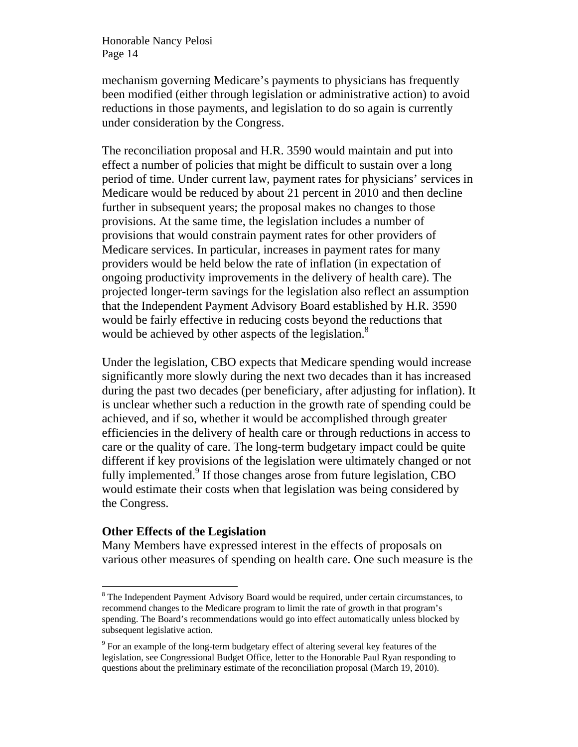mechanism governing Medicare's payments to physicians has frequently been modified (either through legislation or administrative action) to avoid reductions in those payments, and legislation to do so again is currently under consideration by the Congress.

The reconciliation proposal and H.R. 3590 would maintain and put into effect a number of policies that might be difficult to sustain over a long period of time. Under current law, payment rates for physicians' services in Medicare would be reduced by about 21 percent in 2010 and then decline further in subsequent years; the proposal makes no changes to those provisions. At the same time, the legislation includes a number of provisions that would constrain payment rates for other providers of Medicare services. In particular, increases in payment rates for many providers would be held below the rate of inflation (in expectation of ongoing productivity improvements in the delivery of health care). The projected longer-term savings for the legislation also reflect an assumption that the Independent Payment Advisory Board established by H.R. 3590 would be fairly effective in reducing costs beyond the reductions that would be achieved by other aspects of the legislation.<sup>8</sup>

Under the legislation, CBO expects that Medicare spending would increase significantly more slowly during the next two decades than it has increased during the past two decades (per beneficiary, after adjusting for inflation). It is unclear whether such a reduction in the growth rate of spending could be achieved, and if so, whether it would be accomplished through greater efficiencies in the delivery of health care or through reductions in access to care or the quality of care. The long-term budgetary impact could be quite different if key provisions of the legislation were ultimately changed or not fully implemented.<sup>9</sup> If those changes arose from future legislation, CBO would estimate their costs when that legislation was being considered by the Congress.

# **Other Effects of the Legislation**

 $\overline{a}$ 

Many Members have expressed interest in the effects of proposals on various other measures of spending on health care. One such measure is the

 $8$  The Independent Payment Advisory Board would be required, under certain circumstances, to recommend changes to the Medicare program to limit the rate of growth in that program's spending. The Board's recommendations would go into effect automatically unless blocked by subsequent legislative action.

 $9^9$  For an example of the long-term budgetary effect of altering several key features of the legislation, see Congressional Budget Office, letter to the Honorable Paul Ryan responding to questions about the preliminary estimate of the reconciliation proposal (March 19, 2010).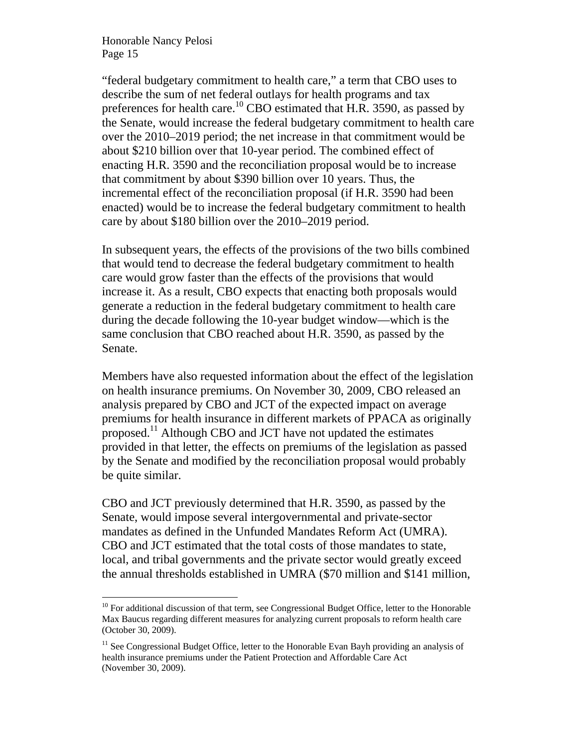$\overline{a}$ 

"federal budgetary commitment to health care," a term that CBO uses to describe the sum of net federal outlays for health programs and tax preferences for health care.<sup>10</sup> CBO estimated that H.R. 3590, as passed by the Senate, would increase the federal budgetary commitment to health care over the 2010–2019 period; the net increase in that commitment would be about \$210 billion over that 10-year period. The combined effect of enacting H.R. 3590 and the reconciliation proposal would be to increase that commitment by about \$390 billion over 10 years. Thus, the incremental effect of the reconciliation proposal (if H.R. 3590 had been enacted) would be to increase the federal budgetary commitment to health care by about \$180 billion over the 2010–2019 period.

In subsequent years, the effects of the provisions of the two bills combined that would tend to decrease the federal budgetary commitment to health care would grow faster than the effects of the provisions that would increase it. As a result, CBO expects that enacting both proposals would generate a reduction in the federal budgetary commitment to health care during the decade following the 10-year budget window—which is the same conclusion that CBO reached about H.R. 3590, as passed by the Senate.

Members have also requested information about the effect of the legislation on health insurance premiums. On November 30, 2009, CBO released an analysis prepared by CBO and JCT of the expected impact on average premiums for health insurance in different markets of PPACA as originally proposed.11 Although CBO and JCT have not updated the estimates provided in that letter, the effects on premiums of the legislation as passed by the Senate and modified by the reconciliation proposal would probably be quite similar.

CBO and JCT previously determined that H.R. 3590, as passed by the Senate, would impose several intergovernmental and private-sector mandates as defined in the Unfunded Mandates Reform Act (UMRA). CBO and JCT estimated that the total costs of those mandates to state, local, and tribal governments and the private sector would greatly exceed the annual thresholds established in UMRA (\$70 million and \$141 million,

 $10$  For additional discussion of that term, see Congressional Budget Office, letter to the Honorable Max Baucus regarding different measures for analyzing current proposals to reform health care (October 30, 2009).

 $11$  See Congressional Budget Office, letter to the Honorable Evan Bayh providing an analysis of health insurance premiums under the Patient Protection and Affordable Care Act (November 30, 2009).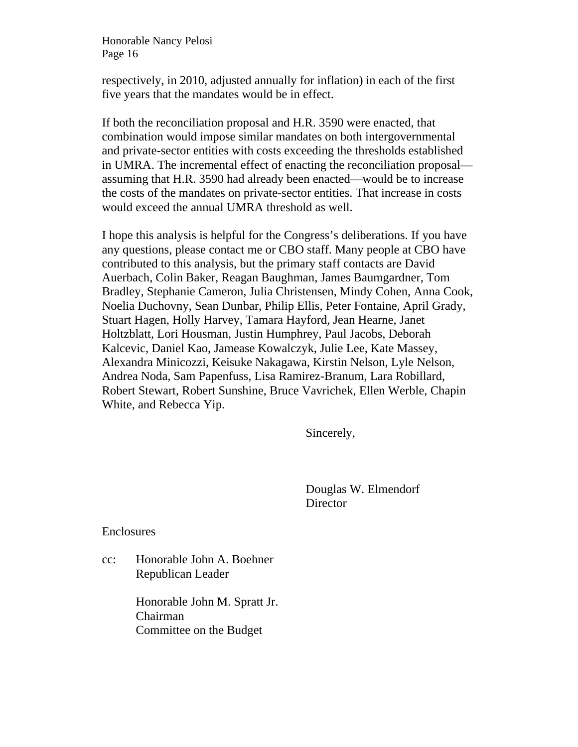respectively, in 2010, adjusted annually for inflation) in each of the first five years that the mandates would be in effect.

If both the reconciliation proposal and H.R. 3590 were enacted, that combination would impose similar mandates on both intergovernmental and private-sector entities with costs exceeding the thresholds established in UMRA. The incremental effect of enacting the reconciliation proposal assuming that H.R. 3590 had already been enacted—would be to increase the costs of the mandates on private-sector entities. That increase in costs would exceed the annual UMRA threshold as well.

I hope this analysis is helpful for the Congress's deliberations. If you have any questions, please contact me or CBO staff. Many people at CBO have contributed to this analysis, but the primary staff contacts are David Auerbach, Colin Baker, Reagan Baughman, James Baumgardner, Tom Bradley, Stephanie Cameron, Julia Christensen, Mindy Cohen, Anna Cook, Noelia Duchovny, Sean Dunbar, Philip Ellis, Peter Fontaine, April Grady, Stuart Hagen, Holly Harvey, Tamara Hayford, Jean Hearne, Janet Holtzblatt, Lori Housman, Justin Humphrey, Paul Jacobs, Deborah Kalcevic, Daniel Kao, Jamease Kowalczyk, Julie Lee, Kate Massey, Alexandra Minicozzi, Keisuke Nakagawa, Kirstin Nelson, Lyle Nelson, Andrea Noda, Sam Papenfuss, Lisa Ramirez-Branum, Lara Robillard, Robert Stewart, Robert Sunshine, Bruce Vavrichek, Ellen Werble, Chapin White, and Rebecca Yip.

Sincerely,

Douglas W. Elmendorf **Director** 

Enclosures

cc: Honorable John A. Boehner Republican Leader

> Honorable John M. Spratt Jr. Chairman Committee on the Budget